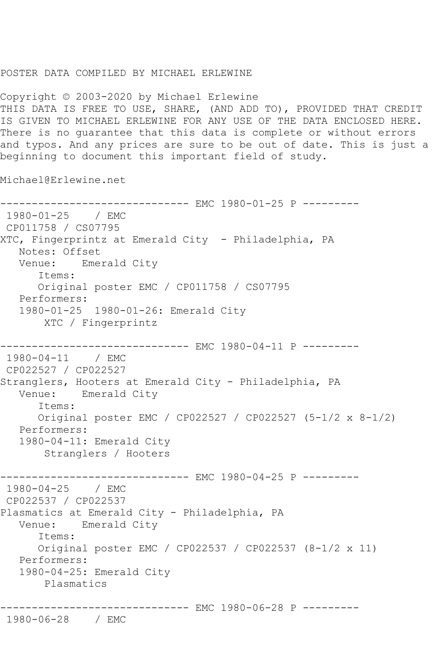## POSTER DATA COMPILED BY MICHAEL ERLEWINE

Copyright © 2003-2020 by Michael Erlewine THIS DATA IS FREE TO USE, SHARE, (AND ADD TO), PROVIDED THAT CREDIT IS GIVEN TO MICHAEL ERLEWINE FOR ANY USE OF THE DATA ENCLOSED HERE. There is no guarantee that this data is complete or without errors and typos. And any prices are sure to be out of date. This is just a beginning to document this important field of study.

Michael@Erlewine.net

```
------------------------------ EMC 1980-01-25 P ---------
1980-01-25 / EMC 
CP011758 / CS07795
XTC, Fingerprintz at Emerald City - Philadelphia, PA
   Notes: Offset
   Venue: Emerald City
      Items:
      Original poster EMC / CP011758 / CS07795
   Performers:
   1980-01-25 1980-01-26: Emerald City
       XTC / Fingerprintz
------------------------------ EMC 1980-04-11 P ---------
1980-04-11 / EMC 
CP022527 / CP022527
Stranglers, Hooters at Emerald City - Philadelphia, PA
   Venue: Emerald City
      Items:
      Original poster EMC / CP022527 / CP022527 (5-1/2 x 8-1/2)
   Performers:
   1980-04-11: Emerald City
       Stranglers / Hooters
                     ---------- EMC 1980-04-25 P ---------
1980-04-25 / EMC 
CP022537 / CP022537
Plasmatics at Emerald City - Philadelphia, PA
   Venue: Emerald City
      Items:
      Original poster EMC / CP022537 / CP022537 (8-1/2 x 11)
   Performers:
   1980-04-25: Emerald City
       Plasmatics
             ----------------- EMC 1980-06-28 P ---------
```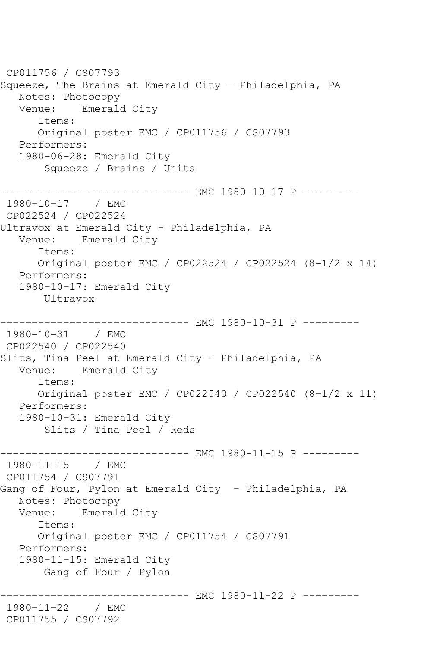CP011756 / CS07793 Squeeze, The Brains at Emerald City - Philadelphia, PA Notes: Photocopy Venue: Emerald City Items: Original poster EMC / CP011756 / CS07793 Performers: 1980-06-28: Emerald City Squeeze / Brains / Units ------------------------------ EMC 1980-10-17 P --------- 1980-10-17 / EMC CP022524 / CP022524 Ultravox at Emerald City - Philadelphia, PA Venue: Emerald City Items: Original poster EMC / CP022524 / CP022524 (8-1/2 x 14) Performers: 1980-10-17: Emerald City Ultravox ---------- EMC 1980-10-31 P ---------1980-10-31 / EMC CP022540 / CP022540 Slits, Tina Peel at Emerald City - Philadelphia, PA Venue: Emerald City Items: Original poster EMC / CP022540 / CP022540 (8-1/2 x 11) Performers: 1980-10-31: Emerald City Slits / Tina Peel / Reds ------------------------------ EMC 1980-11-15 P ---------<br>1980-11-15 / EMC  $1980 - 11 - 15$ CP011754 / CS07791 Gang of Four, Pylon at Emerald City - Philadelphia, PA Notes: Photocopy Venue: Emerald City Items: Original poster EMC / CP011754 / CS07791 Performers: 1980-11-15: Emerald City Gang of Four / Pylon ------------ EMC 1980-11-22 P ---------1980-11-22 / EMC CP011755 / CS07792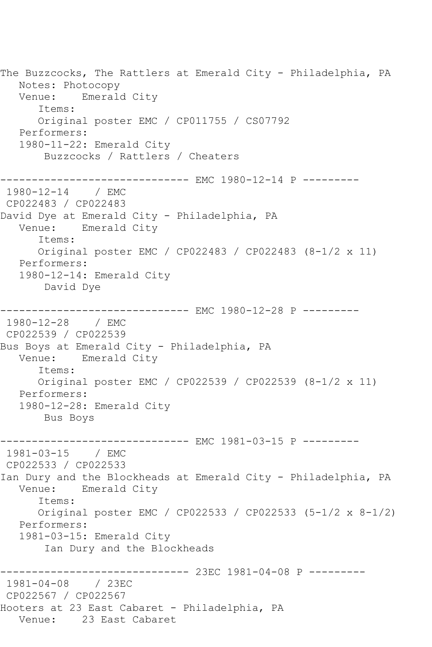The Buzzcocks, The Rattlers at Emerald City - Philadelphia, PA Notes: Photocopy Venue: Emerald City Items: Original poster EMC / CP011755 / CS07792 Performers: 1980-11-22: Emerald City Buzzcocks / Rattlers / Cheaters ------------------------------ EMC 1980-12-14 P --------- 1980-12-14 / EMC CP022483 / CP022483 David Dye at Emerald City - Philadelphia, PA Venue: Emerald City Items: Original poster EMC / CP022483 / CP022483 (8-1/2 x 11) Performers: 1980-12-14: Emerald City David Dye ------------------------------ EMC 1980-12-28 P --------- 1980-12-28 / EMC CP022539 / CP022539 Bus Boys at Emerald City - Philadelphia, PA Venue: Emerald City Items: Original poster EMC / CP022539 / CP022539 (8-1/2 x 11) Performers: 1980-12-28: Emerald City Bus Boys ------------------------------ EMC 1981-03-15 P --------- 1981-03-15 / EMC CP022533 / CP022533 Ian Dury and the Blockheads at Emerald City - Philadelphia, PA Venue: Emerald City Items: Original poster EMC / CP022533 / CP022533 (5-1/2 x 8-1/2) Performers: 1981-03-15: Emerald City Ian Dury and the Blockheads ------------------------------ 23EC 1981-04-08 P --------- 1981-04-08 / 23EC CP022567 / CP022567 Hooters at 23 East Cabaret - Philadelphia, PA Venue: 23 East Cabaret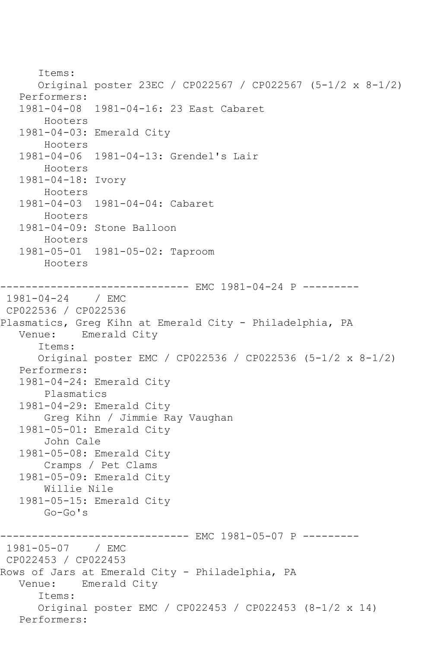Items: Original poster 23EC / CP022567 / CP022567 (5-1/2 x 8-1/2) Performers: 1981-04-08 1981-04-16: 23 East Cabaret Hooters 1981-04-03: Emerald City Hooters 1981-04-06 1981-04-13: Grendel's Lair Hooters 1981-04-18: Ivory Hooters 1981-04-03 1981-04-04: Cabaret Hooters 1981-04-09: Stone Balloon Hooters 1981-05-01 1981-05-02: Taproom Hooters ---------- EMC 1981-04-24 P ---------1981-04-24 / EMC CP022536 / CP022536 Plasmatics, Greg Kihn at Emerald City - Philadelphia, PA Venue: Emerald City Items: Original poster EMC / CP022536 / CP022536 (5-1/2 x 8-1/2) Performers: 1981-04-24: Emerald City Plasmatics 1981-04-29: Emerald City Greg Kihn / Jimmie Ray Vaughan 1981-05-01: Emerald City John Cale 1981-05-08: Emerald City Cramps / Pet Clams 1981-05-09: Emerald City Willie Nile 1981-05-15: Emerald City Go-Go's ------------------------------ EMC 1981-05-07 P --------- 1981-05-07 / EMC CP022453 / CP022453 Rows of Jars at Emerald City - Philadelphia, PA Venue: Emerald City Items: Original poster EMC / CP022453 / CP022453 (8-1/2 x 14) Performers: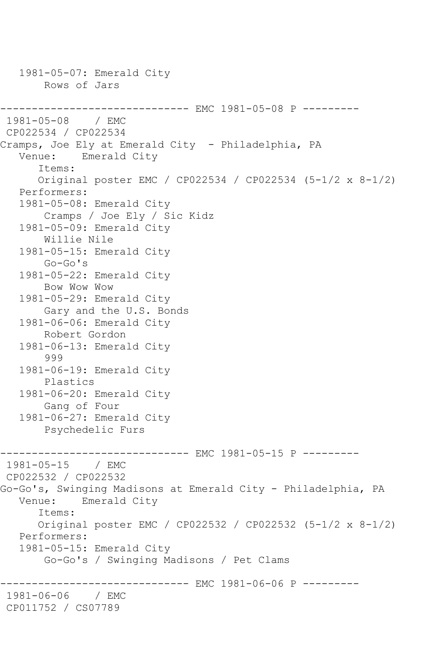1981-05-07: Emerald City Rows of Jars ------------------------------ EMC 1981-05-08 P ---------  $1981 - 05 - 08$ CP022534 / CP022534 Cramps, Joe Ely at Emerald City - Philadelphia, PA<br>Venue: Emerald City Emerald City Items: Original poster EMC / CP022534 / CP022534 (5-1/2 x 8-1/2) Performers: 1981-05-08: Emerald City Cramps / Joe Ely / Sic Kidz 1981-05-09: Emerald City Willie Nile 1981-05-15: Emerald City Go-Go's 1981-05-22: Emerald City Bow Wow Wow 1981-05-29: Emerald City Gary and the U.S. Bonds 1981-06-06: Emerald City Robert Gordon 1981-06-13: Emerald City 999 1981-06-19: Emerald City Plastics 1981-06-20: Emerald City Gang of Four 1981-06-27: Emerald City Psychedelic Furs ------------------------------ EMC 1981-05-15 P ---------  $1981 - 05 - 15$ CP022532 / CP022532 Go-Go's, Swinging Madisons at Emerald City - Philadelphia, PA<br>Venue: Emerald Citv Emerald City Items: Original poster EMC / CP022532 / CP022532 (5-1/2 x 8-1/2) Performers: 1981-05-15: Emerald City Go-Go's / Swinging Madisons / Pet Clams ---------- EMC 1981-06-06 P ---------1981-06-06 / EMC CP011752 / CS07789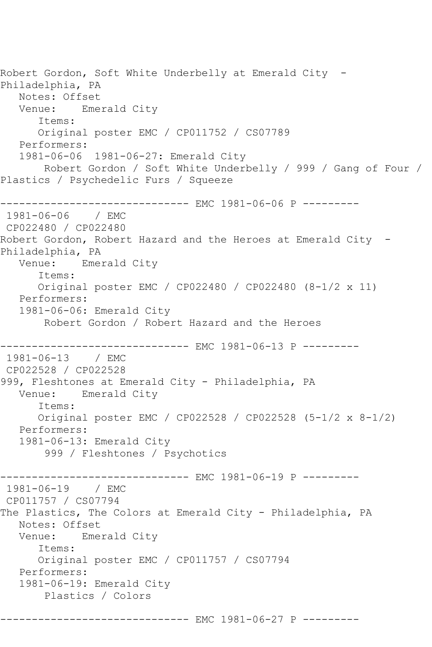Robert Gordon, Soft White Underbelly at Emerald City -Philadelphia, PA Notes: Offset Venue: Emerald City Items: Original poster EMC / CP011752 / CS07789 Performers: 1981-06-06 1981-06-27: Emerald City Robert Gordon / Soft White Underbelly / 999 / Gang of Four / Plastics / Psychedelic Furs / Squeeze ------------------------------ EMC 1981-06-06 P --------- 1981-06-06 / EMC CP022480 / CP022480 Robert Gordon, Robert Hazard and the Heroes at Emerald City -Philadelphia, PA Venue: Emerald City Items: Original poster EMC / CP022480 / CP022480 (8-1/2 x 11) Performers: 1981-06-06: Emerald City Robert Gordon / Robert Hazard and the Heroes ------------------------------ EMC 1981-06-13 P --------- 1981-06-13 / EMC CP022528 / CP022528 999, Fleshtones at Emerald City - Philadelphia, PA Venue: Emerald City Items: Original poster EMC / CP022528 / CP022528 (5-1/2 x 8-1/2) Performers: 1981-06-13: Emerald City 999 / Fleshtones / Psychotics ----------- EMC 1981-06-19 P ---------1981-06-19 / EMC CP011757 / CS07794 The Plastics, The Colors at Emerald City - Philadelphia, PA Notes: Offset<br>Venue: Emer Emerald City Items: Original poster EMC / CP011757 / CS07794 Performers: 1981-06-19: Emerald City Plastics / Colors ------------------------------ EMC 1981-06-27 P ---------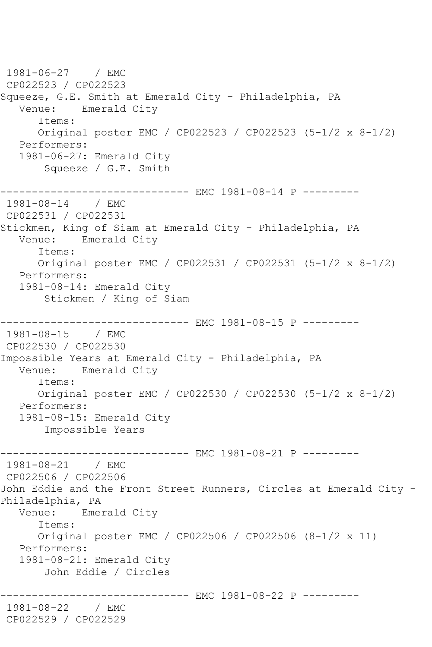1981-06-27 / EMC CP022523 / CP022523 Squeeze, G.E. Smith at Emerald City - Philadelphia, PA Venue: Emerald City Items: Original poster EMC / CP022523 / CP022523 (5-1/2 x 8-1/2) Performers: 1981-06-27: Emerald City Squeeze / G.E. Smith ------------------------------ EMC 1981-08-14 P --------- 1981-08-14 / EMC CP022531 / CP022531 Stickmen, King of Siam at Emerald City - Philadelphia, PA Venue: Emerald City Items: Original poster EMC / CP022531 / CP022531 (5-1/2 x 8-1/2) Performers: 1981-08-14: Emerald City Stickmen / King of Siam ---------- EMC 1981-08-15 P ---------1981-08-15 / EMC CP022530 / CP022530 Impossible Years at Emerald City - Philadelphia, PA Venue: Emerald City Items: Original poster EMC / CP022530 / CP022530 (5-1/2 x 8-1/2) Performers: 1981-08-15: Emerald City Impossible Years ------------------------------ EMC 1981-08-21 P ---------<br>1981-08-21 / EMC  $1981 - 08 - 21$ CP022506 / CP022506 John Eddie and the Front Street Runners, Circles at Emerald City - Philadelphia, PA Venue: Emerald City Items: Original poster EMC / CP022506 / CP022506 (8-1/2 x 11) Performers: 1981-08-21: Emerald City John Eddie / Circles ----------- EMC 1981-08-22 P ---------1981-08-22 / EMC CP022529 / CP022529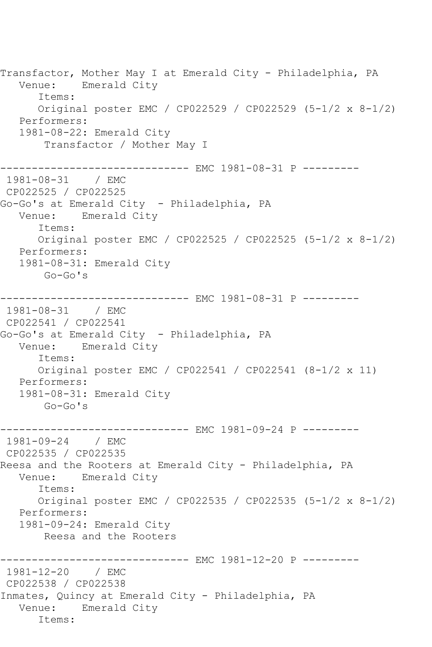Transfactor, Mother May I at Emerald City - Philadelphia, PA Venue: Emerald City Items: Original poster EMC / CP022529 / CP022529 (5-1/2 x 8-1/2) Performers: 1981-08-22: Emerald City Transfactor / Mother May I ------------------------------ EMC 1981-08-31 P --------- 1981-08-31 CP022525 / CP022525 Go-Go's at Emerald City - Philadelphia, PA Venue: Emerald City Items: Original poster EMC / CP022525 / CP022525 (5-1/2 x 8-1/2) Performers: 1981-08-31: Emerald City Go-Go's ------------------------------ EMC 1981-08-31 P --------- 1981-08-31 / EMC CP022541 / CP022541 Go-Go's at Emerald City – Philadelphia, PA<br>Venue: Emerald City Emerald City Items: Original poster EMC / CP022541 / CP022541 (8-1/2 x 11) Performers: 1981-08-31: Emerald City Go-Go's ---------- EMC 1981-09-24 P ---------1981-09-24 / EMC CP022535 / CP022535 Reesa and the Rooters at Emerald City - Philadelphia, PA Venue: Emerald City Items: Original poster EMC / CP022535 / CP022535 (5-1/2 x 8-1/2) Performers: 1981-09-24: Emerald City Reesa and the Rooters -------------- EMC 1981-12-20 P ----------1981-12-20 / EMC CP022538 / CP022538 Inmates, Quincy at Emerald City - Philadelphia, PA Venue: Emerald City Items: